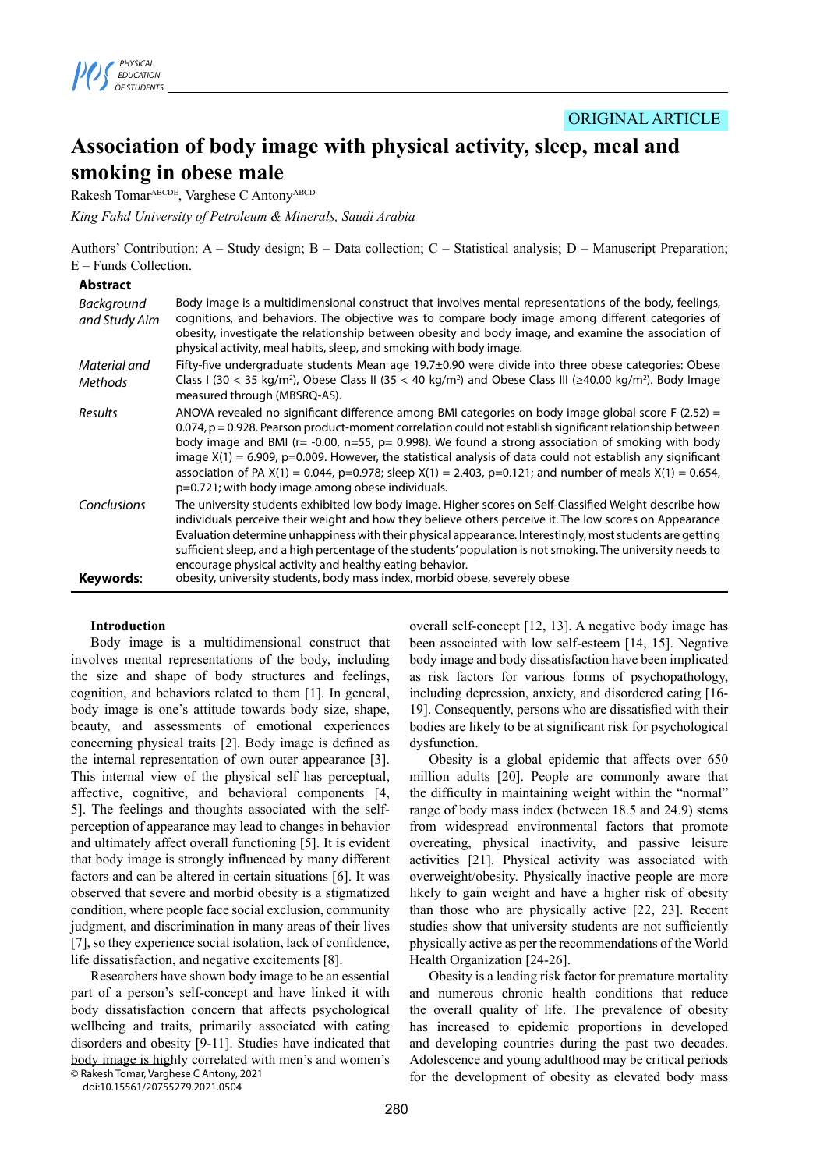

# ORIGINAL ARTICLE

# **Association of body image with physical activity, sleep, meal and smoking in obese male**

Rakesh TomarABCDE, Varghese C AntonyABCD

*King Fahd University of Petroleum & Minerals, Saudi Arabia*

Authors' Contribution: A – Study design; B – Data collection; C – Statistical analysis; D – Manuscript Preparation; E – Funds Collection.

#### **Abstract**

| Background<br>and Study Aim | Body image is a multidimensional construct that involves mental representations of the body, feelings,<br>cognitions, and behaviors. The objective was to compare body image among different categories of<br>obesity, investigate the relationship between obesity and body image, and examine the association of<br>physical activity, meal habits, sleep, and smoking with body image.                                                                                                                                                                                                                                     |
|-----------------------------|-------------------------------------------------------------------------------------------------------------------------------------------------------------------------------------------------------------------------------------------------------------------------------------------------------------------------------------------------------------------------------------------------------------------------------------------------------------------------------------------------------------------------------------------------------------------------------------------------------------------------------|
| Material and                | Fifty-five undergraduate students Mean age $19.7\pm0.90$ were divide into three obese categories: Obese                                                                                                                                                                                                                                                                                                                                                                                                                                                                                                                       |
| Methods                     | Class I (30 < 35 kg/m <sup>2</sup> ), Obese Class II (35 < 40 kg/m <sup>2</sup> ) and Obese Class III ( $\geq$ 40.00 kg/m <sup>2</sup> ). Body Image<br>measured through (MBSRQ-AS).                                                                                                                                                                                                                                                                                                                                                                                                                                          |
| Results                     | ANOVA revealed no significant difference among BMI categories on body image global score F (2,52) =<br>0.074, p = 0.928. Pearson product-moment correlation could not establish significant relationship between<br>body image and BMI ( $r = -0.00$ , $n = 55$ , $p = 0.998$ ). We found a strong association of smoking with body<br>image $X(1) = 6.909$ , p=0.009. However, the statistical analysis of data could not establish any significant<br>association of PA $X(1) = 0.044$ , p=0.978; sleep $X(1) = 2.403$ , p=0.121; and number of meals $X(1) = 0.654$ ,<br>p=0.721; with body image among obese individuals. |
| Conclusions                 | The university students exhibited low body image. Higher scores on Self-Classified Weight describe how<br>individuals perceive their weight and how they believe others perceive it. The low scores on Appearance<br>Evaluation determine unhappiness with their physical appearance. Interestingly, most students are getting<br>sufficient sleep, and a high percentage of the students' population is not smoking. The university needs to<br>encourage physical activity and healthy eating behavior.<br>obesity, university students, body mass index, morbid obese, severely obese                                      |
| Keywords:                   |                                                                                                                                                                                                                                                                                                                                                                                                                                                                                                                                                                                                                               |

#### **Introduction**

Body image is a multidimensional construct that involves mental representations of the body, including the size and shape of body structures and feelings, cognition, and behaviors related to them [1]. In general, body image is one's attitude towards body size, shape, beauty, and assessments of emotional experiences concerning physical traits [2]. Body image is defined as the internal representation of own outer appearance [3]. This internal view of the physical self has perceptual, affective, cognitive, and behavioral components [4, 5]. The feelings and thoughts associated with the selfperception of appearance may lead to changes in behavior and ultimately affect overall functioning [5]. It is evident that body image is strongly influenced by many different factors and can be altered in certain situations [6]. It was observed that severe and morbid obesity is a stigmatized condition, where people face social exclusion, community judgment, and discrimination in many areas of their lives [7], so they experience social isolation, lack of confidence, life dissatisfaction, and negative excitements [8].

Researchers have shown body image to be an essential part of a person's self-concept and have linked it with body dissatisfaction concern that affects psychological wellbeing and traits, primarily associated with eating disorders and obesity [9-11]. Studies have indicated that body image is highly correlated with men's and women's © Rakesh Tomar, Varghese C Antony, 2021

doi:10.15561/20755279.2021.0504

overall self-concept [12, 13]. A negative body image has been associated with low self-esteem [14, 15]. Negative body image and body dissatisfaction have been implicated as risk factors for various forms of psychopathology, including depression, anxiety, and disordered eating [16- 19]. Consequently, persons who are dissatisfied with their bodies are likely to be at significant risk for psychological dysfunction.

Obesity is a global epidemic that affects over 650 million adults [20]. People are commonly aware that the difficulty in maintaining weight within the "normal" range of body mass index (between 18.5 and 24.9) stems from widespread environmental factors that promote overeating, physical inactivity, and passive leisure activities [21]. Physical activity was associated with overweight/obesity. Physically inactive people are more likely to gain weight and have a higher risk of obesity than those who are physically active [22, 23]. Recent studies show that university students are not sufficiently physically active as per the recommendations of the World Health Organization [24-26].

Obesity is a leading risk factor for premature mortality and numerous chronic health conditions that reduce the overall quality of life. The prevalence of obesity has increased to epidemic proportions in developed and developing countries during the past two decades. Adolescence and young adulthood may be critical periods for the development of obesity as elevated body mass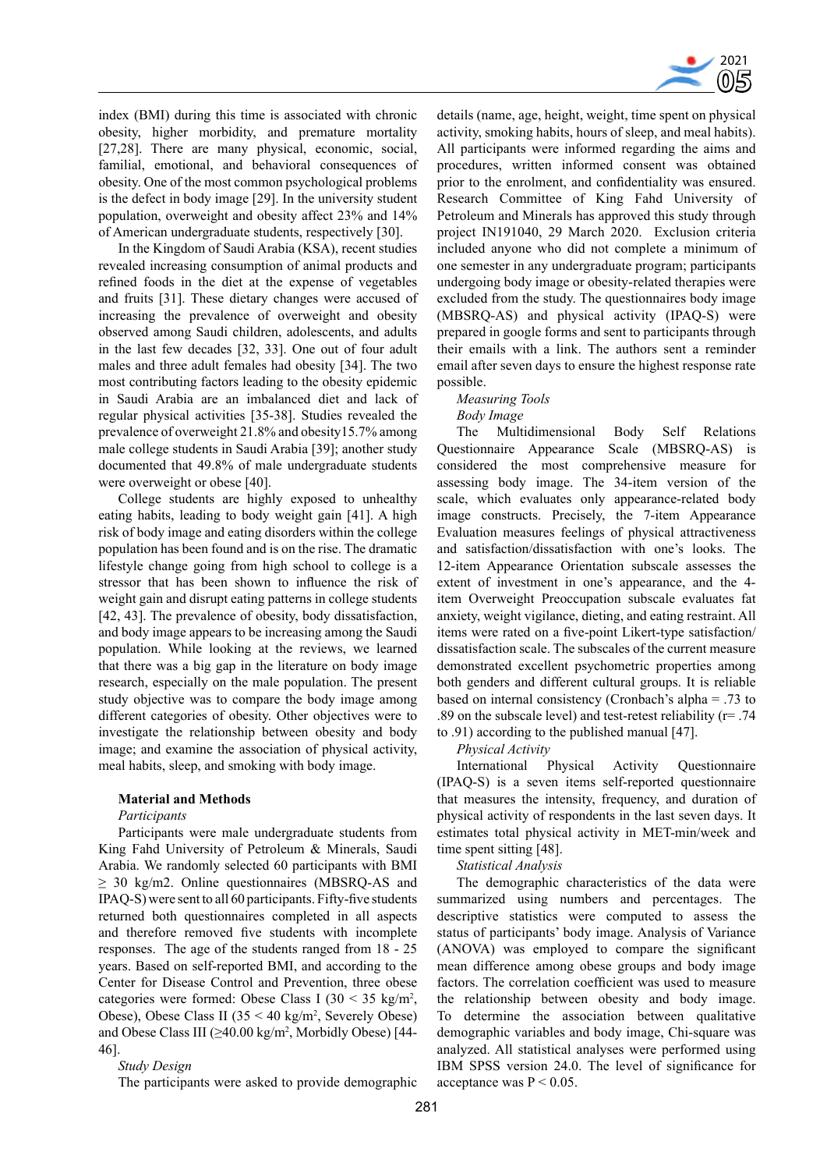

index (BMI) during this time is associated with chronic obesity, higher morbidity, and premature mortality [27,28]. There are many physical, economic, social, familial, emotional, and behavioral consequences of obesity. One of the most common psychological problems is the defect in body image [29]. In the university student population, overweight and obesity affect 23% and 14% of American undergraduate students, respectively [30].

In the Kingdom of Saudi Arabia (KSA), recent studies revealed increasing consumption of animal products and refined foods in the diet at the expense of vegetables and fruits [31]. These dietary changes were accused of increasing the prevalence of overweight and obesity observed among Saudi children, adolescents, and adults in the last few decades [32, 33]. One out of four adult males and three adult females had obesity [34]. The two most contributing factors leading to the obesity epidemic in Saudi Arabia are an imbalanced diet and lack of regular physical activities [35-38]. Studies revealed the prevalence of overweight 21.8% and obesity15.7% among male college students in Saudi Arabia [39]; another study documented that 49.8% of male undergraduate students were overweight or obese [40].

College students are highly exposed to unhealthy eating habits, leading to body weight gain [41]. A high risk of body image and eating disorders within the college population has been found and is on the rise. The dramatic lifestyle change going from high school to college is a stressor that has been shown to influence the risk of weight gain and disrupt eating patterns in college students [42, 43]. The prevalence of obesity, body dissatisfaction, and body image appears to be increasing among the Saudi population. While looking at the reviews, we learned that there was a big gap in the literature on body image research, especially on the male population. The present study objective was to compare the body image among different categories of obesity. Other objectives were to investigate the relationship between obesity and body image; and examine the association of physical activity, meal habits, sleep, and smoking with body image.

#### **Material and Methods**

#### *Participants*

Participants were male undergraduate students from King Fahd University of Petroleum & Minerals, Saudi Arabia. We randomly selected 60 participants with BMI ≥ 30 kg/m2. Online questionnaires (MBSRQ-AS and IPAQ-S) were sent to all 60 participants. Fifty-five students returned both questionnaires completed in all aspects and therefore removed five students with incomplete responses. The age of the students ranged from 18 - 25 years. Based on self-reported BMI, and according to the Center for Disease Control and Prevention, three obese categories were formed: Obese Class I  $(30 \le 35 \text{ kg/m}^2,$ Obese), Obese Class II  $(35 < 40 \text{ kg/m}^2,$  Severely Obese) and Obese Class III (≥40.00 kg/m<sup>2</sup> , Morbidly Obese) [44- 46].

# *Study Design*

The participants were asked to provide demographic

details (name, age, height, weight, time spent on physical activity, smoking habits, hours of sleep, and meal habits). All participants were informed regarding the aims and procedures, written informed consent was obtained prior to the enrolment, and confidentiality was ensured. Research Committee of King Fahd University of Petroleum and Minerals has approved this study through project IN191040, 29 March 2020. Exclusion criteria included anyone who did not complete a minimum of one semester in any undergraduate program; participants undergoing body image or obesity-related therapies were excluded from the study. The questionnaires body image (MBSRQ-AS) and physical activity (IPAQ-S) were prepared in google forms and sent to participants through their emails with a link. The authors sent a reminder email after seven days to ensure the highest response rate possible.

# *Measuring Tools*

#### *Body Image*

The Multidimensional Body Self Relations Questionnaire Appearance Scale (MBSRQ-AS) is considered the most comprehensive measure for assessing body image. The 34-item version of the scale, which evaluates only appearance-related body image constructs. Precisely, the 7-item Appearance Evaluation measures feelings of physical attractiveness and satisfaction/dissatisfaction with one's looks. The 12-item Appearance Orientation subscale assesses the extent of investment in one's appearance, and the 4 item Overweight Preoccupation subscale evaluates fat anxiety, weight vigilance, dieting, and eating restraint. All items were rated on a five-point Likert-type satisfaction/ dissatisfaction scale. The subscales of the current measure demonstrated excellent psychometric properties among both genders and different cultural groups. It is reliable based on internal consistency (Cronbach's alpha = .73 to .89 on the subscale level) and test-retest reliability (r= .74 to .91) according to the published manual [47].

*Physical Activity*

International Physical Activity Questionnaire (IPAQ-S) is a seven items self-reported questionnaire that measures the intensity, frequency, and duration of physical activity of respondents in the last seven days. It estimates total physical activity in MET-min/week and time spent sitting [48].

*Statistical Analysis*

The demographic characteristics of the data were summarized using numbers and percentages. The descriptive statistics were computed to assess the status of participants' body image. Analysis of Variance (ANOVA) was employed to compare the significant mean difference among obese groups and body image factors. The correlation coefficient was used to measure the relationship between obesity and body image. To determine the association between qualitative demographic variables and body image, Chi-square was analyzed. All statistical analyses were performed using IBM SPSS version 24.0. The level of significance for acceptance was  $P < 0.05$ .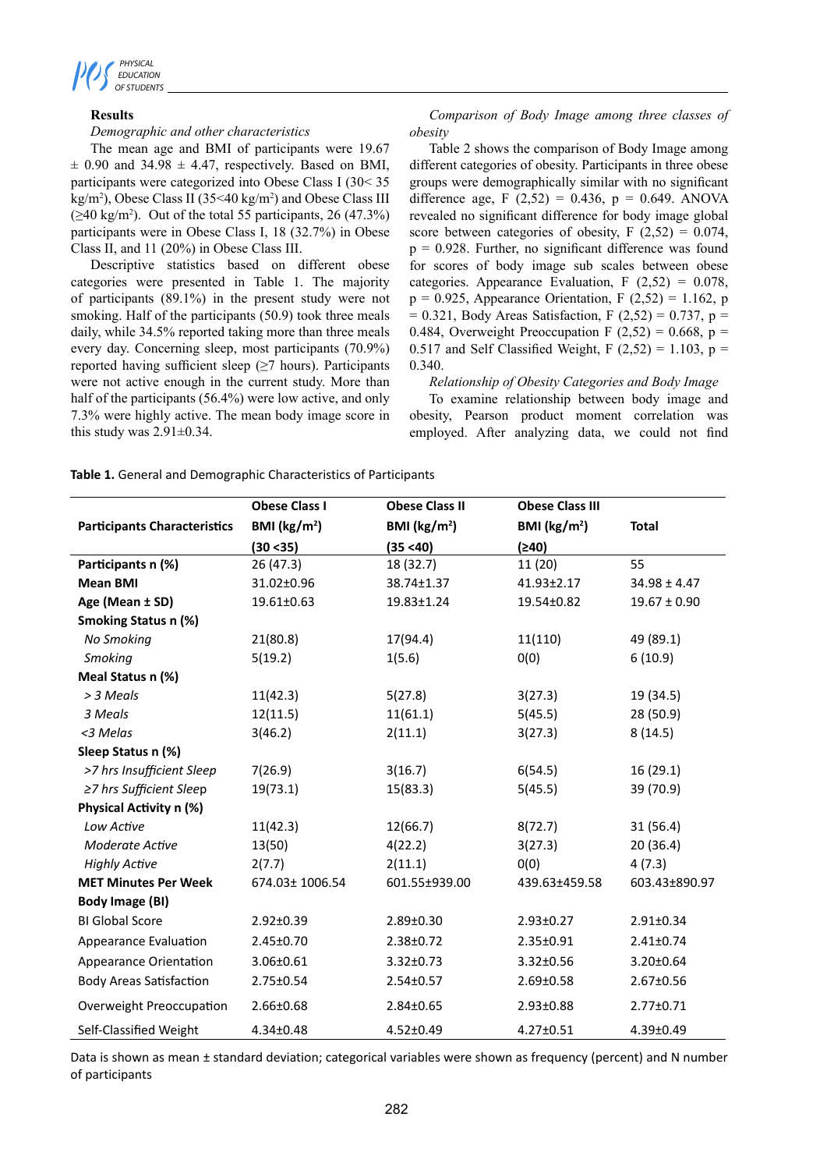

# **Results**

# *Demographic and other characteristics*

The mean age and BMI of participants were 19.67  $\pm$  0.90 and 34.98  $\pm$  4.47, respectively. Based on BMI, participants were categorized into Obese Class I (30< 35 kg/m2 ), Obese Class II (35<40 kg/m2 ) and Obese Class III  $(\geq 40 \text{ kg/m}^2)$ . Out of the total 55 participants, 26 (47.3%) participants were in Obese Class I, 18 (32.7%) in Obese Class II, and 11 (20%) in Obese Class III.

Descriptive statistics based on different obese categories were presented in Table 1. The majority of participants (89.1%) in the present study were not smoking. Half of the participants (50.9) took three meals daily, while 34.5% reported taking more than three meals every day. Concerning sleep, most participants (70.9%) reported having sufficient sleep  $(\geq 7$  hours). Participants were not active enough in the current study. More than half of the participants (56.4%) were low active, and only 7.3% were highly active. The mean body image score in this study was  $2.91 \pm 0.34$ .

*Comparison of Body Image among three classes of obesity*

Table 2 shows the comparison of Body Image among different categories of obesity. Participants in three obese groups were demographically similar with no significant difference age, F  $(2,52) = 0.436$ , p = 0.649. ANOVA revealed no significant difference for body image global score between categories of obesity,  $F(2,52) = 0.074$ ,  $p = 0.928$ . Further, no significant difference was found for scores of body image sub scales between obese categories. Appearance Evaluation, F  $(2,52) = 0.078$ ,  $p = 0.925$ , Appearance Orientation, F (2,52) = 1.162, p  $= 0.321$ , Body Areas Satisfaction, F (2,52) = 0.737, p = 0.484, Overweight Preoccupation F  $(2,52) = 0.668$ , p = 0.517 and Self Classified Weight, F  $(2,52) = 1.103$ , p = 0.340.

#### *Relationship of Obesity Categories and Body Image*

To examine relationship between body image and obesity, Pearson product moment correlation was employed. After analyzing data, we could not find

| Table 1. General and Demographic Characteristics of Participants |  |
|------------------------------------------------------------------|--|
|------------------------------------------------------------------|--|

|                                     | <b>Obese Class I</b>    | <b>Obese Class II</b>   | <b>Obese Class III</b>  |                  |
|-------------------------------------|-------------------------|-------------------------|-------------------------|------------------|
| <b>Participants Characteristics</b> | BMI ( $\text{kg/m}^2$ ) | BMI ( $\text{kg/m}^2$ ) | BMI ( $\text{kg/m}^2$ ) | <b>Total</b>     |
|                                     | (30 < 35)               | (35 < 40)               | (240)                   |                  |
| Participants n (%)                  | 26 (47.3)               | 18 (32.7)               | 11 (20)                 | 55               |
| <b>Mean BMI</b>                     | 31.02±0.96              | 38.74±1.37              | $41.93 \pm 2.17$        | $34.98 \pm 4.47$ |
| Age (Mean ± SD)                     | 19.61±0.63              | $19.83 \pm 1.24$        | 19.54±0.82              | $19.67 \pm 0.90$ |
| Smoking Status n (%)                |                         |                         |                         |                  |
| No Smoking                          | 21(80.8)                | 17(94.4)                | 11(110)                 | 49 (89.1)        |
| Smoking                             | 5(19.2)                 | 1(5.6)                  | 0(0)                    | 6(10.9)          |
| Meal Status n (%)                   |                         |                         |                         |                  |
| > 3 Meals                           | 11(42.3)                | 5(27.8)                 | 3(27.3)                 | 19 (34.5)        |
| 3 Meals                             | 12(11.5)                | 11(61.1)                | 5(45.5)                 | 28 (50.9)        |
| <3 Melas                            | 3(46.2)                 | 2(11.1)                 | 3(27.3)                 | 8(14.5)          |
| Sleep Status n (%)                  |                         |                         |                         |                  |
| >7 hrs Insufficient Sleep           | 7(26.9)                 | 3(16.7)                 | 6(54.5)                 | 16(29.1)         |
| ≥7 hrs Sufficient Sleep             | 19(73.1)                | 15(83.3)                | 5(45.5)                 | 39 (70.9)        |
| Physical Activity n (%)             |                         |                         |                         |                  |
| Low Active                          | 11(42.3)                | 12(66.7)                | 8(72.7)                 | 31(56.4)         |
| <b>Moderate Active</b>              | 13(50)                  | 4(22.2)                 | 3(27.3)                 | 20(36.4)         |
| <b>Highly Active</b>                | 2(7.7)                  | 2(11.1)                 | 0(0)                    | 4(7.3)           |
| <b>MET Minutes Per Week</b>         | 674.03± 1006.54         | 601.55±939.00           | 439.63±459.58           | 603.43±890.97    |
| Body Image (BI)                     |                         |                         |                         |                  |
| <b>BI Global Score</b>              | $2.92 \pm 0.39$         | $2.89 \pm 0.30$         | $2.93 \pm 0.27$         | $2.91 \pm 0.34$  |
| Appearance Evaluation               | $2.45 \pm 0.70$         | $2.38 \pm 0.72$         | $2.35 \pm 0.91$         | $2.41 \pm 0.74$  |
| <b>Appearance Orientation</b>       | 3.06±0.61               | $3.32 \pm 0.73$         | $3.32 \pm 0.56$         | $3.20 \pm 0.64$  |
| <b>Body Areas Satisfaction</b>      | 2.75±0.54               | $2.54 \pm 0.57$         | $2.69 \pm 0.58$         | $2.67 \pm 0.56$  |
| Overweight Preoccupation            | $2.66 \pm 0.68$         | $2.84 \pm 0.65$         | $2.93 \pm 0.88$         | $2.77 \pm 0.71$  |
| Self-Classified Weight              | $4.34 \pm 0.48$         | $4.52 \pm 0.49$         | $4.27 \pm 0.51$         | 4.39±0.49        |

Data is shown as mean ± standard deviation; categorical variables were shown as frequency (percent) and N number of participants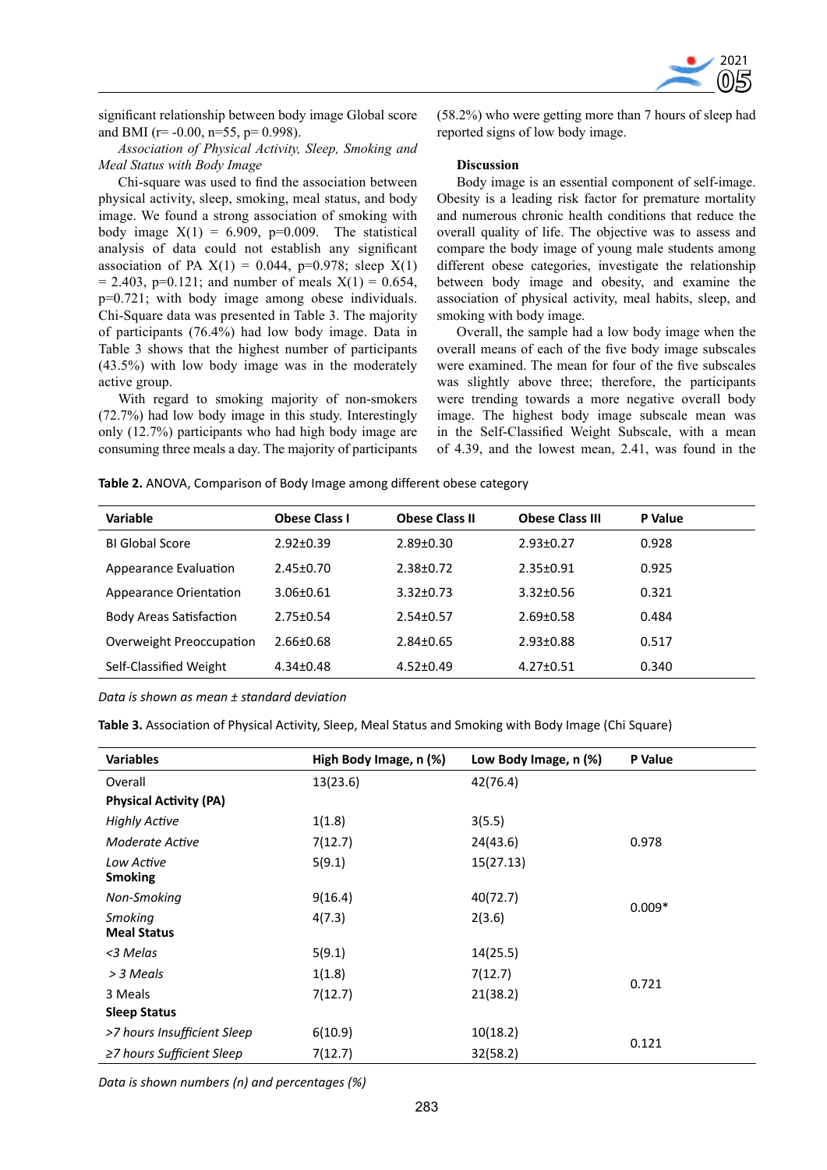

significant relationship between body image Global score and BMI ( $r = -0.00$ ,  $n = 55$ ,  $p = 0.998$ ).

*Association of Physical Activity, Sleep, Smoking and Meal Status with Body Image*

Chi-square was used to find the association between physical activity, sleep, smoking, meal status, and body image. We found a strong association of smoking with body image  $X(1) = 6.909$ , p=0.009. The statistical analysis of data could not establish any significant association of PA  $X(1) = 0.044$ , p=0.978; sleep  $X(1)$  $= 2.403$ , p=0.121; and number of meals  $X(1) = 0.654$ , p=0.721; with body image among obese individuals. Chi-Square data was presented in Table 3. The majority of participants (76.4%) had low body image. Data in Table 3 shows that the highest number of participants (43.5%) with low body image was in the moderately active group.

With regard to smoking majority of non-smokers (72.7%) had low body image in this study. Interestingly only (12.7%) participants who had high body image are consuming three meals a day. The majority of participants (58.2%) who were getting more than 7 hours of sleep had reported signs of low body image.

#### **Discussion**

Body image is an essential component of self-image. Obesity is a leading risk factor for premature mortality and numerous chronic health conditions that reduce the overall quality of life. The objective was to assess and compare the body image of young male students among different obese categories, investigate the relationship between body image and obesity, and examine the association of physical activity, meal habits, sleep, and smoking with body image.

Overall, the sample had a low body image when the overall means of each of the five body image subscales were examined. The mean for four of the five subscales was slightly above three; therefore, the participants were trending towards a more negative overall body image. The highest body image subscale mean was in the Self-Classified Weight Subscale, with a mean of 4.39, and the lowest mean, 2.41, was found in the

**Table 2.** ANOVA, Comparison of Body Image among different obese category

| Variable                       | <b>Obese Class I</b> | <b>Obese Class II</b> | <b>Obese Class III</b> | P Value |
|--------------------------------|----------------------|-----------------------|------------------------|---------|
| <b>BI Global Score</b>         | $2.92 \pm 0.39$      | $2.89 \pm 0.30$       | $2.93 \pm 0.27$        | 0.928   |
| Appearance Evaluation          | $2.45 \pm 0.70$      | $2.38 + 0.72$         | $2.35 \pm 0.91$        | 0.925   |
| Appearance Orientation         | $3.06 \pm 0.61$      | $3.32 \pm 0.73$       | $3.32 \pm 0.56$        | 0.321   |
| <b>Body Areas Satisfaction</b> | $2.75 \pm 0.54$      | $2.54 \pm 0.57$       | $2.69 \pm 0.58$        | 0.484   |
| Overweight Preoccupation       | $2.66 \pm 0.68$      | $2.84 \pm 0.65$       | $2.93 \pm 0.88$        | 0.517   |
| Self-Classified Weight         | $4.34 \pm 0.48$      | $4.52 \pm 0.49$       | $4.27 \pm 0.51$        | 0.340   |
|                                |                      |                       |                        |         |

*Data is shown as mean ± standard deviation*

**Table 3.** Association of Physical Activity, Sleep, Meal Status and Smoking with Body Image (Chi Square)

| <b>Variables</b>                     | High Body Image, n (%) | Low Body Image, n (%) | P Value  |  |
|--------------------------------------|------------------------|-----------------------|----------|--|
| Overall                              | 13(23.6)               | 42(76.4)              |          |  |
| <b>Physical Activity (PA)</b>        |                        |                       |          |  |
| <b>Highly Active</b>                 | 1(1.8)                 | 3(5.5)                |          |  |
| Moderate Active                      | 7(12.7)                | 24(43.6)              | 0.978    |  |
| Low Active<br><b>Smoking</b>         | 5(9.1)                 | 15(27.13)             |          |  |
| Non-Smoking                          | 9(16.4)                | 40(72.7)              | $0.009*$ |  |
| <b>Smoking</b><br><b>Meal Status</b> | 4(7.3)                 | 2(3.6)                |          |  |
| <3 Melas                             | 5(9.1)                 | 14(25.5)              |          |  |
| > 3 Meals                            | 1(1.8)                 | 7(12.7)               |          |  |
| 3 Meals                              | 7(12.7)                | 21(38.2)              | 0.721    |  |
| <b>Sleep Status</b>                  |                        |                       |          |  |
| >7 hours Insufficient Sleep          | 6(10.9)                | 10(18.2)              | 0.121    |  |
| $\geq$ 7 hours Sufficient Sleep      | 7(12.7)                | 32(58.2)              |          |  |

*Data is shown numbers (n) and percentages (%)*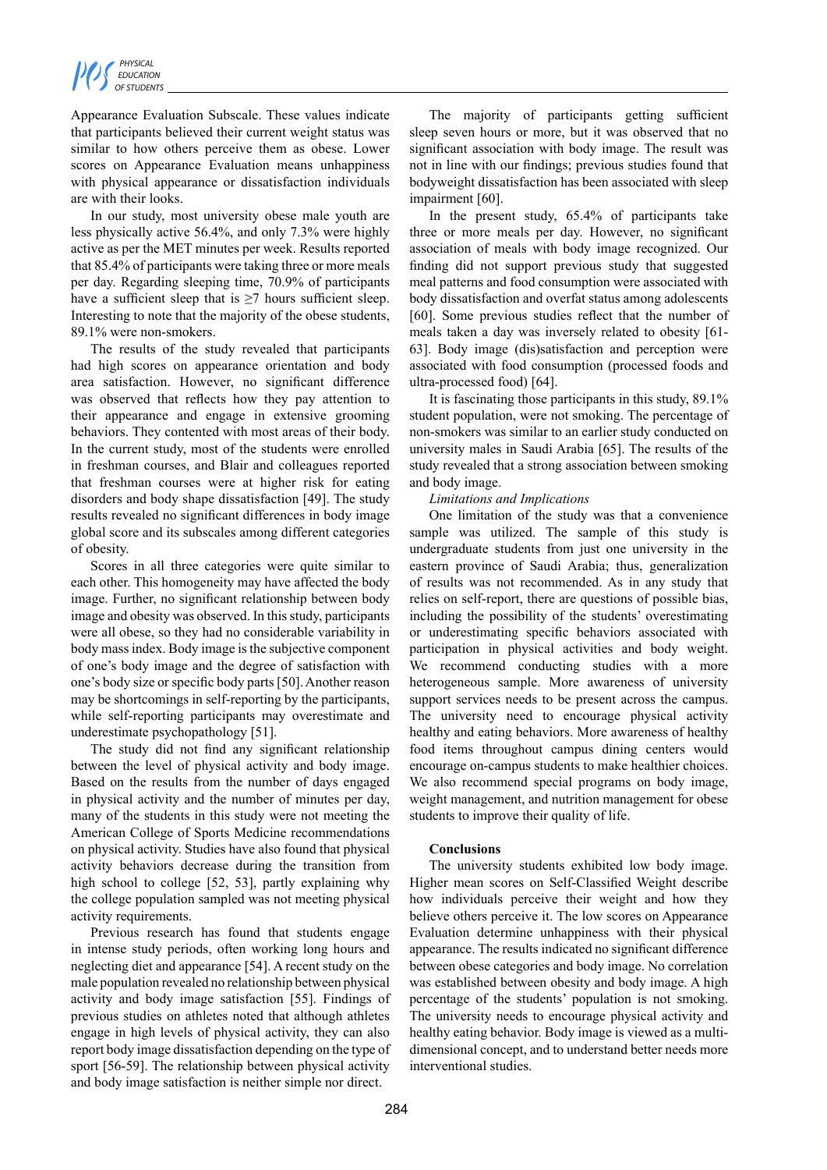Appearance Evaluation Subscale. These values indicate that participants believed their current weight status was similar to how others perceive them as obese. Lower scores on Appearance Evaluation means unhappiness with physical appearance or dissatisfaction individuals are with their looks.

In our study, most university obese male youth are less physically active 56.4%, and only 7.3% were highly active as per the MET minutes per week. Results reported that 85.4% of participants were taking three or more meals per day. Regarding sleeping time, 70.9% of participants have a sufficient sleep that is  $\geq 7$  hours sufficient sleep. Interesting to note that the majority of the obese students, 89.1% were non-smokers.

The results of the study revealed that participants had high scores on appearance orientation and body area satisfaction. However, no significant difference was observed that reflects how they pay attention to their appearance and engage in extensive grooming behaviors. They contented with most areas of their body. In the current study, most of the students were enrolled in freshman courses, and Blair and colleagues reported that freshman courses were at higher risk for eating disorders and body shape dissatisfaction [49]. The study results revealed no significant differences in body image global score and its subscales among different categories of obesity.

Scores in all three categories were quite similar to each other. This homogeneity may have affected the body image. Further, no significant relationship between body image and obesity was observed. In this study, participants were all obese, so they had no considerable variability in body mass index. Body image is the subjective component of one's body image and the degree of satisfaction with one's body size or specific body parts [50]. Another reason may be shortcomings in self-reporting by the participants, while self-reporting participants may overestimate and underestimate psychopathology [51].

The study did not find any significant relationship between the level of physical activity and body image. Based on the results from the number of days engaged in physical activity and the number of minutes per day, many of the students in this study were not meeting the American College of Sports Medicine recommendations on physical activity. Studies have also found that physical activity behaviors decrease during the transition from high school to college [52, 53], partly explaining why the college population sampled was not meeting physical activity requirements.

Previous research has found that students engage in intense study periods, often working long hours and neglecting diet and appearance [54]. A recent study on the male population revealed no relationship between physical activity and body image satisfaction [55]. Findings of previous studies on athletes noted that although athletes engage in high levels of physical activity, they can also report body image dissatisfaction depending on the type of sport [56-59]. The relationship between physical activity and body image satisfaction is neither simple nor direct.

The majority of participants getting sufficient sleep seven hours or more, but it was observed that no significant association with body image. The result was not in line with our findings; previous studies found that bodyweight dissatisfaction has been associated with sleep impairment [60].

In the present study, 65.4% of participants take three or more meals per day. However, no significant association of meals with body image recognized. Our finding did not support previous study that suggested meal patterns and food consumption were associated with body dissatisfaction and overfat status among adolescents [60]. Some previous studies reflect that the number of meals taken a day was inversely related to obesity [61- 63]. Body image (dis)satisfaction and perception were associated with food consumption (processed foods and ultra-processed food) [64].

It is fascinating those participants in this study, 89.1% student population, were not smoking. The percentage of non-smokers was similar to an earlier study conducted on university males in Saudi Arabia [65]. The results of the study revealed that a strong association between smoking and body image.

# *Limitations and Implications*

One limitation of the study was that a convenience sample was utilized. The sample of this study is undergraduate students from just one university in the eastern province of Saudi Arabia; thus, generalization of results was not recommended. As in any study that relies on self-report, there are questions of possible bias, including the possibility of the students' overestimating or underestimating specific behaviors associated with participation in physical activities and body weight. We recommend conducting studies with a more heterogeneous sample. More awareness of university support services needs to be present across the campus. The university need to encourage physical activity healthy and eating behaviors. More awareness of healthy food items throughout campus dining centers would encourage on-campus students to make healthier choices. We also recommend special programs on body image, weight management, and nutrition management for obese students to improve their quality of life.

#### **Conclusions**

The university students exhibited low body image. Higher mean scores on Self-Classified Weight describe how individuals perceive their weight and how they believe others perceive it. The low scores on Appearance Evaluation determine unhappiness with their physical appearance. The results indicated no significant difference between obese categories and body image. No correlation was established between obesity and body image. A high percentage of the students' population is not smoking. The university needs to encourage physical activity and healthy eating behavior. Body image is viewed as a multidimensional concept, and to understand better needs more interventional studies.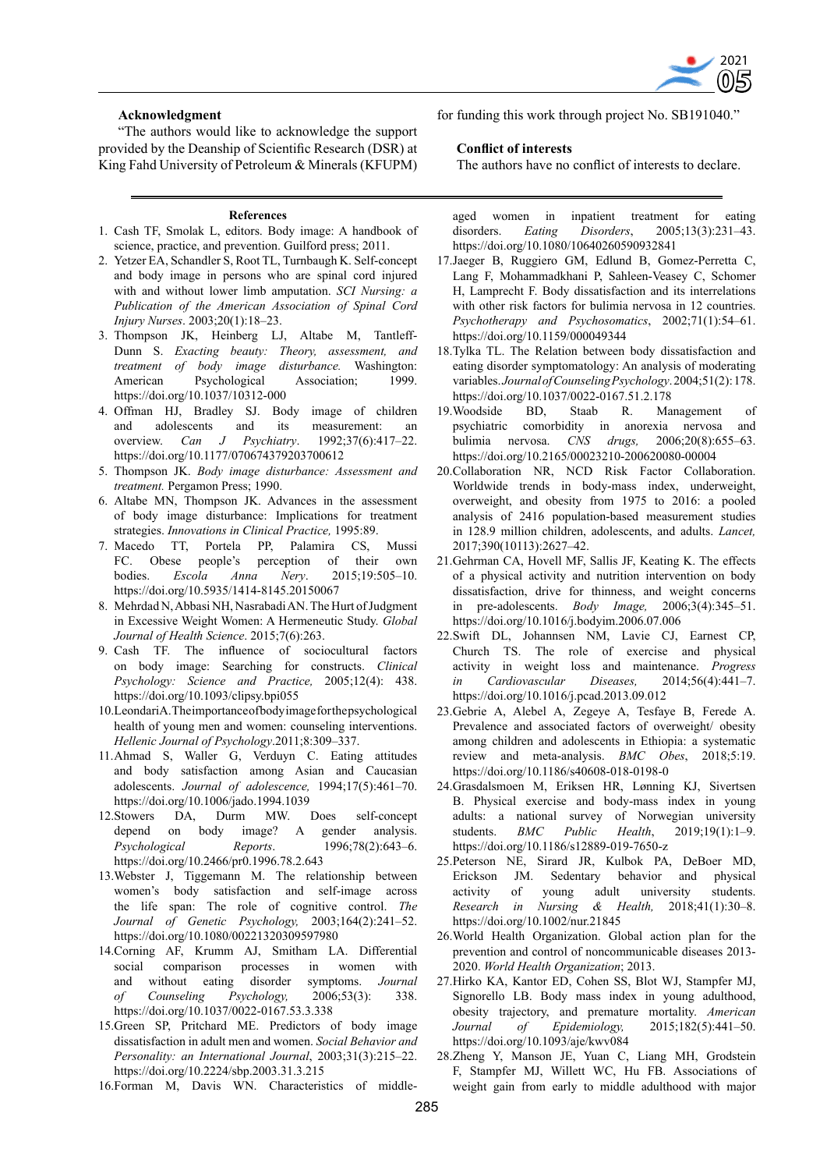

#### **Acknowledgment**

"The authors would like to acknowledge the support provided by the Deanship of Scientific Research (DSR) at King Fahd University of Petroleum & Minerals (KFUPM)

#### **References**

- 1. Cash TF, Smolak L, editors. Body image: A handbook of science, practice, and prevention. Guilford press; 2011.
- 2. Yetzer EA, Schandler S, Root TL, Turnbaugh K. Self-concept and body image in persons who are spinal cord injured with and without lower limb amputation. *SCI Nursing: a Publication of the American Association of Spinal Cord Injury Nurses*. 2003;20(1):18–23.
- 3. Thompson JK, Heinberg LJ, Altabe M, Tantleff-Dunn S. *Exacting beauty: Theory, assessment, and treatment of body image disturbance.* Washington: American Psychological Association; 1999. https://doi.org/10.1037/10312-000
- 4. Offman HJ, Bradley SJ. Body image of children and adolescents and its measurement: an overview. *Can J Psychiatry*. 1992;37(6):417–22. https://doi.org/10.1177/070674379203700612
- 5. Thompson JK. *Body image disturbance: Assessment and treatment.* Pergamon Press; 1990.
- 6. Altabe MN, Thompson JK. Advances in the assessment of body image disturbance: Implications for treatment strategies. *Innovations in Clinical Practice,* 1995:89.
- 7. Macedo TT, Portela PP, Palamira CS, Mussi FC. Obese people's perception of their own bodies. *Escola Anna Nery*. 2015;19:505–10. https://doi.org/10.5935/1414-8145.20150067
- 8. Mehrdad N, Abbasi NH, Nasrabadi AN. The Hurt of Judgment in Excessive Weight Women: A Hermeneutic Study. *Global Journal of Health Science*. 2015;7(6):263.
- 9. Cash TF. The influence of sociocultural factors on body image: Searching for constructs. *Clinical Psychology: Science and Practice,* 2005;12(4): 438. https://doi.org/10.1093/clipsy.bpi055
- 10.LeondariA. The importance of body image for the psychological health of young men and women: counseling interventions. *Hellenic Journal of Psychology*.2011;8:309–337.
- 11.Ahmad S, Waller G, Verduyn C. Eating attitudes and body satisfaction among Asian and Caucasian adolescents. *Journal of adolescence,* 1994;17(5):461–70. https://doi.org/10.1006/jado.1994.1039
- 12.Stowers DA, Durm MW. Does self-concept<br>depend on body image? A gender analysis. depend on body image? A gender analysis. *Psychological Reports*. 1996;78(2):643–6. https://doi.org/10.2466/pr0.1996.78.2.643
- 13.Webster J, Tiggemann M. The relationship between women's body satisfaction and self-image across the life span: The role of cognitive control. *The Journal of Genetic Psychology,* 2003;164(2):241–52. https://doi.org/10.1080/00221320309597980
- 14.Corning AF, Krumm AJ, Smitham LA. Differential social comparison processes in women with and without eating disorder symptoms. *Journal of Counseling Psychology,* 2006;53(3): 338. https://doi.org/10.1037/0022-0167.53.3.338
- 15.Green SP, Pritchard ME. Predictors of body image dissatisfaction in adult men and women. *Social Behavior and Personality: an International Journal*, 2003;31(3):215–22. https://doi.org/10.2224/sbp.2003.31.3.215
- 16.Forman M, Davis WN. Characteristics of middle-

for funding this work through project No. SB191040."

#### **Conflict of interests**

The authors have no conflict of interests to declare.

aged women in inpatient treatment for eating<br>disorders. *Eating Disorders*, 2005;13(3):231–43. disorders. *Eating Disorders*, 2005;13(3):231–43. https://doi.org/10.1080/10640260590932841

- 17.Jaeger B, Ruggiero GM, Edlund B, Gomez-Perretta C, Lang F, Mohammadkhani P, Sahleen-Veasey C, Schomer H, Lamprecht F. Body dissatisfaction and its interrelations with other risk factors for bulimia nervosa in 12 countries. *Psychotherapy and Psychosomatics*, 2002;71(1):54–61. https://doi.org/10.1159/000049344
- 18.Tylka TL. The Relation between body dissatisfaction and eating disorder symptomatology: An analysis of moderating variables. *Journal of Counseling Psychology*. 2004;51(2): 178. https://doi.org/10.1037/0022-0167.51.2.178
- 19.Woodside BD, Staab R. Management of psychiatric comorbidity in anorexia nervosa and bulimia nervosa. *CNS drugs,* 2006;20(8):655–63. https://doi.org/10.2165/00023210-200620080-00004
- 20.Collaboration NR, NCD Risk Factor Collaboration. Worldwide trends in body-mass index, underweight, overweight, and obesity from 1975 to 2016: a pooled analysis of 2416 population-based measurement studies in 128.9 million children, adolescents, and adults. *Lancet,* 2017;390(10113):2627–42.
- 21.Gehrman CA, Hovell MF, Sallis JF, Keating K. The effects of a physical activity and nutrition intervention on body dissatisfaction, drive for thinness, and weight concerns in pre-adolescents. *Body Image,* 2006;3(4):345–51. https://doi.org/10.1016/j.bodyim.2006.07.006
- 22.Swift DL, Johannsen NM, Lavie CJ, Earnest CP, Church TS. The role of exercise and physical activity in weight loss and maintenance. *Progress in Cardiovascular Diseases,* 2014;56(4):441–7. https://doi.org/10.1016/j.pcad.2013.09.012
- 23.Gebrie A, Alebel A, Zegeye A, Tesfaye B, Ferede A. Prevalence and associated factors of overweight/ obesity among children and adolescents in Ethiopia: a systematic review and meta-analysis. *BMC Obes*, 2018;5:19. https://doi.org/10.1186/s40608-018-0198-0
- 24.Grasdalsmoen M, Eriksen HR, Lønning KJ, Sivertsen B. Physical exercise and body-mass index in young adults: a national survey of Norwegian university students. *BMC Public Health*, 2019;19(1):1–9. https://doi.org/10.1186/s12889-019-7650-z
- 25.Peterson NE, Sirard JR, Kulbok PA, DeBoer MD, Erickson JM. Sedentary behavior and physical activity of young adult university students. *Research in Nursing & Health,* 2018;41(1):30–8. https://doi.org/10.1002/nur.21845
- 26.World Health Organization. Global action plan for the prevention and control of noncommunicable diseases 2013- 2020. *World Health Organization*; 2013.
- 27.Hirko KA, Kantor ED, Cohen SS, Blot WJ, Stampfer MJ, Signorello LB. Body mass index in young adulthood, obesity trajectory, and premature mortality. *American Journal of Epidemiology,* 2015;182(5):441–50. https://doi.org/10.1093/aje/kwv084
- 28.Zheng Y, Manson JE, Yuan C, Liang MH, Grodstein F, Stampfer MJ, Willett WC, Hu FB. Associations of weight gain from early to middle adulthood with major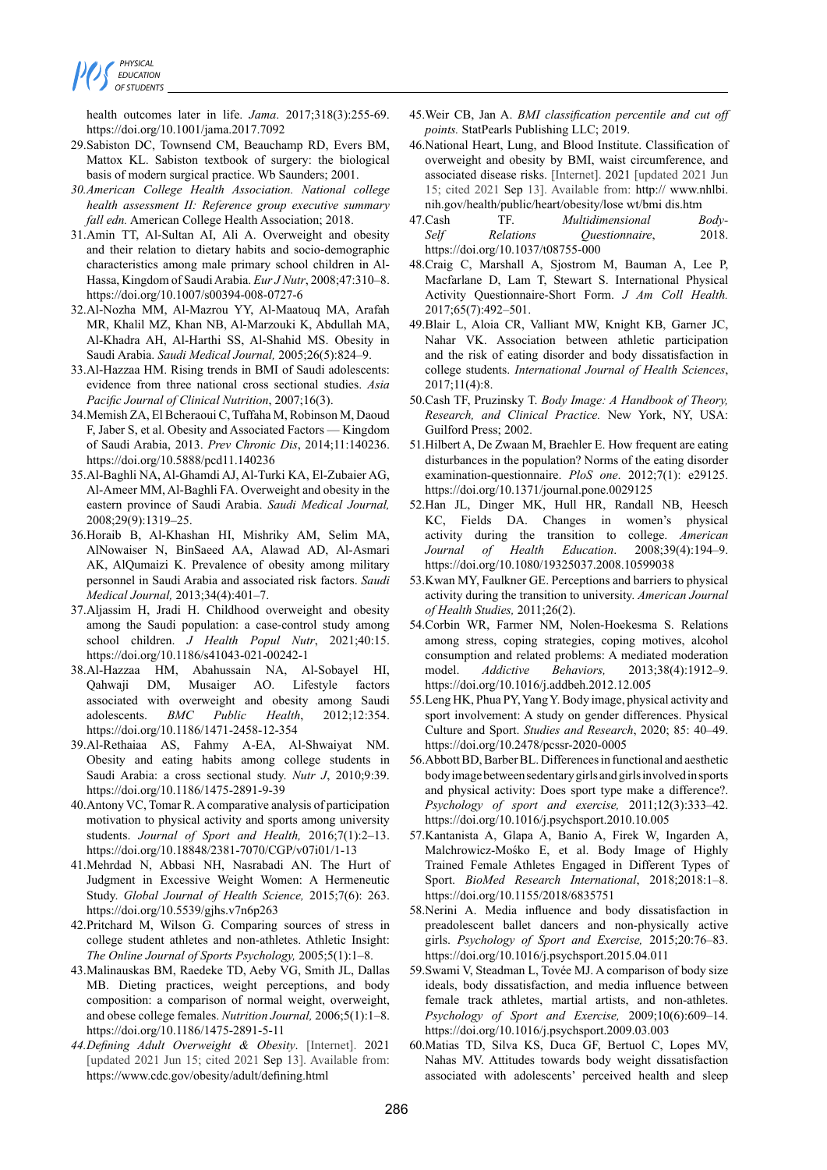

health outcomes later in life. *Jama*. 2017;318(3):255-69. https://doi.org/10.1001/jama.2017.7092

- 29.Sabiston DC, Townsend CM, Beauchamp RD, Evers BM, Mattox KL. Sabiston textbook of surgery: the biological basis of modern surgical practice. Wb Saunders; 2001.
- *30.American College Health Association. National college health assessment II: Reference group executive summary fall edn.* American College Health Association; 2018.
- 31.Amin TT, Al-Sultan AI, Ali A. Overweight and obesity and their relation to dietary habits and socio-demographic characteristics among male primary school children in Al-Hassa, Kingdom of Saudi Arabia. *Eur J Nutr*, 2008;47:310–8. https://doi.org/10.1007/s00394-008-0727-6
- 32.Al-Nozha MM, Al-Mazrou YY, Al-Maatouq MA, Arafah MR, Khalil MZ, Khan NB, Al-Marzouki K, Abdullah MA, Al-Khadra AH, Al-Harthi SS, Al-Shahid MS. Obesity in Saudi Arabia. *Saudi Medical Journal,* 2005;26(5):824–9.
- 33.Al-Hazzaa HM. Rising trends in BMI of Saudi adolescents: evidence from three national cross sectional studies. *Asia Pacific Journal of Clinical Nutrition*, 2007;16(3).
- 34.Memish ZA, El Bcheraoui C, Tuffaha M, Robinson M, Daoud F, Jaber S, et al. Obesity and Associated Factors — Kingdom of Saudi Arabia, 2013. *Prev Chronic Dis*, 2014;11:140236. https://doi.org/10.5888/pcd11.140236
- 35.Al-Baghli NA, Al-Ghamdi AJ, Al-Turki KA, El-Zubaier AG, Al-Ameer MM, Al-Baghli FA. Overweight and obesity in the eastern province of Saudi Arabia. *Saudi Medical Journal,* 2008;29(9):1319–25.
- 36.Horaib B, Al-Khashan HI, Mishriky AM, Selim MA, AlNowaiser N, BinSaeed AA, Alawad AD, Al-Asmari AK, AlQumaizi K. Prevalence of obesity among military personnel in Saudi Arabia and associated risk factors. *Saudi Medical Journal,* 2013;34(4):401–7.
- 37.Aljassim H, Jradi H. Childhood overweight and obesity among the Saudi population: a case-control study among school children. *J Health Popul Nutr*, 2021;40:15. https://doi.org/10.1186/s41043-021-00242-1
- 38.Al-Hazzaa HM, Abahussain NA, Al-Sobayel HI, Qahwaji DM, Musaiger AO. Lifestyle factors associated with overweight and obesity among Saudi adolescents. *BMC Public Health*, 2012;12:354. https://doi.org/10.1186/1471-2458-12-354
- 39.Al-Rethaiaa AS, Fahmy A-EA, Al-Shwaiyat NM. Obesity and eating habits among college students in Saudi Arabia: a cross sectional study. *Nutr J*, 2010;9:39. https://doi.org/10.1186/1475-2891-9-39
- 40.Antony VC, Tomar R. A comparative analysis of participation motivation to physical activity and sports among university students. *Journal of Sport and Health,* 2016;7(1):2–13. https://doi.org/10.18848/2381-7070/CGP/v07i01/1-13
- 41.Mehrdad N, Abbasi NH, Nasrabadi AN. The Hurt of Judgment in Excessive Weight Women: A Hermeneutic Study. *Global Journal of Health Science,* 2015;7(6): 263. https://doi.org/10.5539/gjhs.v7n6p263
- 42.Pritchard M, Wilson G. Comparing sources of stress in college student athletes and non-athletes. Athletic Insight: *The Online Journal of Sports Psychology,* 2005;5(1):1–8.
- 43.Malinauskas BM, Raedeke TD, Aeby VG, Smith JL, Dallas MB. Dieting practices, weight perceptions, and body composition: a comparison of normal weight, overweight, and obese college females. *Nutrition Journal,* 2006;5(1):1–8. https://doi.org/10.1186/1475-2891-5-11
- *44.Defining Adult Overweight & Obesity*. [Internet]. 2021 [updated 2021 Jun 15; cited 2021 Sep 13]. Available from: https://www.cdc.gov/obesity/adult/defining.html
- 45.Weir CB, Jan A. *BMI classification percentile and cut off points.* StatPearls Publishing LLC; 2019.
- 46.National Heart, Lung, and Blood Institute. Classification of overweight and obesity by BMI, waist circumference, and associated disease risks. [Internet]. 2021 [updated 2021 Jun 15; cited 2021 Sep 13]. Available from: http:// www.nhlbi. nih.gov/health/public/heart/obesity/lose wt/bmi dis.htm
- 47.Cash TF. *Multidimensional Body-Self Relations Questionnaire*, 2018. https://doi.org/10.1037/t08755-000
- 48.Craig C, Marshall A, Sjostrom M, Bauman A, Lee P, Macfarlane D, Lam T, Stewart S. International Physical Activity Questionnaire-Short Form. *J Am Coll Health.* 2017;65(7):492–501.
- 49.Blair L, Aloia CR, Valliant MW, Knight KB, Garner JC, Nahar VK. Association between athletic participation and the risk of eating disorder and body dissatisfaction in college students. *International Journal of Health Sciences*, 2017;11(4):8.
- 50.Cash TF, Pruzinsky T. *Body Image: A Handbook of Theory, Research, and Clinical Practice.* New York, NY, USA: Guilford Press; 2002.
- 51.Hilbert A, De Zwaan M, Braehler E. How frequent are eating disturbances in the population? Norms of the eating disorder examination-questionnaire. *PloS one*. 2012;7(1): e29125. https://doi.org/10.1371/journal.pone.0029125
- 52.Han JL, Dinger MK, Hull HR, Randall NB, Heesch KC, Fields DA. Changes in women's physical activity during the transition to college. *American Journal of Health Education*. 2008;39(4):194–9. https://doi.org/10.1080/19325037.2008.10599038
- 53.Kwan MY, Faulkner GE. Perceptions and barriers to physical activity during the transition to university. *American Journal of Health Studies,* 2011;26(2).
- 54.Corbin WR, Farmer NM, Nolen-Hoekesma S. Relations among stress, coping strategies, coping motives, alcohol consumption and related problems: A mediated moderation model. *Addictive Behaviors,* 2013;38(4):1912–9. https://doi.org/10.1016/j.addbeh.2012.12.005
- 55.Leng HK, Phua PY, Yang Y. Body image, physical activity and sport involvement: A study on gender differences. Physical Culture and Sport. *Studies and Research*, 2020; 85: 40–49. https://doi.org/10.2478/pcssr-2020-0005
- 56.Abbott BD, Barber BL. Differences in functional and aesthetic body image between sedentary girls and girls involved in sports and physical activity: Does sport type make a difference?. *Psychology of sport and exercise,* 2011;12(3):333–42. https://doi.org/10.1016/j.psychsport.2010.10.005
- 57.Kantanista A, Glapa A, Banio A, Firek W, Ingarden A, Malchrowicz-Mośko E, et al. Body Image of Highly Trained Female Athletes Engaged in Different Types of Sport. *BioMed Research International*, 2018;2018:1–8. https://doi.org/10.1155/2018/6835751
- 58.Nerini A. Media influence and body dissatisfaction in preadolescent ballet dancers and non-physically active girls. *Psychology of Sport and Exercise,* 2015;20:76–83. https://doi.org/10.1016/j.psychsport.2015.04.011
- 59.Swami V, Steadman L, Tovée MJ. A comparison of body size ideals, body dissatisfaction, and media influence between female track athletes, martial artists, and non-athletes. *Psychology of Sport and Exercise,* 2009;10(6):609–14. https://doi.org/10.1016/j.psychsport.2009.03.003
- 60.Matias TD, Silva KS, Duca GF, Bertuol C, Lopes MV, Nahas MV. Attitudes towards body weight dissatisfaction associated with adolescents' perceived health and sleep